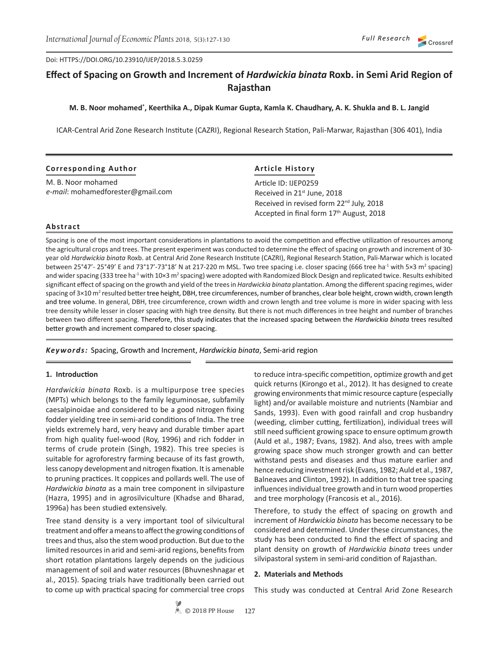Doi: HTTPS://DOI.ORG/10.23910/IJEP/2018.5.3.0259

# **Effect of Spacing on Growth and Increment of** *Hardwickia binata* **Roxb. in Semi Arid Region of Rajasthan**

#### **M. B. Noor mohamed\* , Keerthika A., Dipak Kumar Gupta, Kamla K. Chaudhary, A. K. Shukla and B. L. Jangid**

ICAR-Central Arid Zone Research Institute (CAZRI), Regional Research Station, Pali-Marwar, Rajasthan (306 401), India

| <b>Corresponding Author</b>       | <b>Article History</b>                               |  |
|-----------------------------------|------------------------------------------------------|--|
| M. B. Noor mohamed                | Article ID: IJEP0259                                 |  |
| e-mail: mohamedforester@gmail.com | Received in 21 <sup>st</sup> June, 2018              |  |
|                                   | Received in revised form 22 <sup>nd</sup> July, 2018 |  |
|                                   | Accepted in final form 17th August, 2018             |  |

#### **Abstract**

Spacing is one of the most important considerations in plantations to avoid the competition and effective utilization of resources among the agricultural crops and trees. The present experiment was conducted to determine the effect of spacing on growth and increment of 30 year old *Hardwickia binata* Roxb. at Central Arid Zone Research Institute (CAZRI), Regional Research Station, Pali-Marwar which is located between 25°47'- 25°49' E and 73°17'-73°18' N at 217-220 m MSL. Two tree spacing i.e. closer spacing (666 tree ha<sup>-1</sup> with 5×3 m<sup>2</sup> spacing) and wider spacing (333 tree ha<sup>-1</sup> with 10×3 m<sup>2</sup> spacing) were adopted with Randomized Block Design and replicated twice. Results exhibited significant effect of spacing on the growth and yield of the trees in *Hardwickia binata* plantation. Among the different spacing regimes, wider spacing of 3×10 m<sup>2</sup> resulted better tree height, DBH, tree circumferences, number of branches, clear bole height, crown width, crown length and tree volume. In general, DBH, tree circumference, crown width and crown length and tree volume is more in wider spacing with less tree density while lesser in closer spacing with high tree density. But there is not much differences in tree height and number of branches between two different spacing. Therefore, this study indicates that the increased spacing between the *Hardwickia binata* trees resulted better growth and increment compared to closer spacing.

*Keywords:* Spacing, Growth and Increment, *Hardwickia binata*, Semi-arid region

#### **1. Introduction**

*Hardwickia binata* Roxb. is a multipurpose tree species (MPTs) which belongs to the family leguminosae, subfamily caesalpinoidae and considered to be a good nitrogen fixing fodder yielding tree in semi-arid conditions of India. The tree yields extremely hard, very heavy and durable timber apart from high quality fuel-wood (Roy, 1996) and rich fodder in terms of crude protein (Singh, 1982). This tree species is suitable for agroforestry farming because of its fast growth, less canopy development and nitrogen fixation. It is amenable to pruning practices. It coppices and pollards well. The use of *Hardwickia binata* as a main tree component in silvipasture (Hazra, 1995) and in agrosilviculture (Khadse and Bharad, 1996a) has been studied extensively.

Tree stand density is a very important tool of silvicultural treatment and offer a means to affect the growing conditions of trees and thus, also the stem wood production. But due to the limited resources in arid and semi-arid regions, benefits from short rotation plantations largely depends on the judicious management of soil and water resources (Bhuvneshnagar et al., 2015). Spacing trials have traditionally been carried out to come up with practical spacing for commercial tree crops

to reduce intra-specific competition, optimize growth and get quick returns (Kirongo et al., 2012). It has designed to create growing environments that mimic resource capture (especially light) and/or available moisture and nutrients (Nambiar and Sands, 1993). Even with good rainfall and crop husbandry (weeding, climber cutting, fertilization), individual trees will still need sufficient growing space to ensure optimum growth (Auld et al., 1987; Evans, 1982). And also, trees with ample growing space show much stronger growth and can better withstand pests and diseases and thus mature earlier and hence reducing investment risk (Evans, 1982; Auld et al., 1987, Balneaves and Clinton, 1992). In addition to that tree spacing influences individual tree growth and in turn wood properties and tree morphology (Francosis et al., 2016).

Therefore, to study the effect of spacing on growth and increment of *Hardwickia binata* has become necessary to be considered and determined. Under these circumstances, the study has been conducted to find the effect of spacing and plant density on growth of *Hardwickia binata* trees under silvipastoral system in semi-arid condition of Rajasthan.

#### **2. Materials and Methods**

This study was conducted at Central Arid Zone Research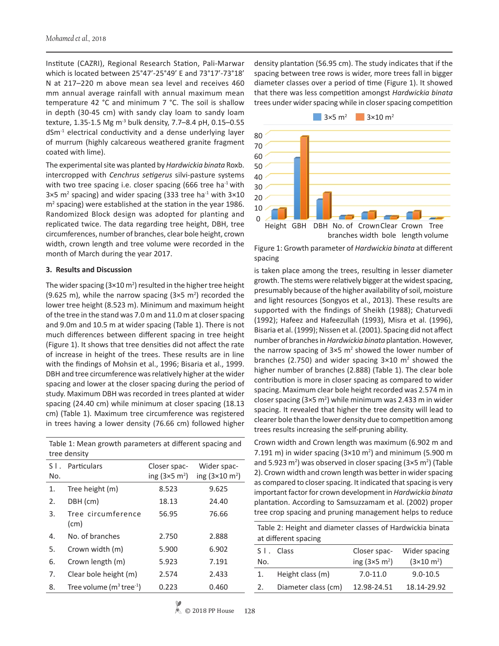Institute (CAZRI), Regional Research Station, Pali-Marwar which is located between 25°47'-25°49' E and 73°17'-73°18' N at 217–220 m above mean sea level and receives 460 mm annual average rainfall with annual maximum mean temperature 42 °C and minimum 7 °C. The soil is shallow in depth (30-45 cm) with sandy clay loam to sandy loam texture, 1.35-1.5 Mg m<sup>-3</sup> bulk density, 7.7-8.4 pH, 0.15-0.55 dSm-1 electrical conductivity and a dense underlying layer of murrum (highly calcareous weathered granite fragment coated with lime).

The experimental site was planted by *Hardwickia binata* Roxb. intercropped with *Cenchrus setigerus* silvi-pasture systems with two tree spacing i.e. closer spacing (666 tree ha<sup>-1</sup> with  $3\times5$  m<sup>2</sup> spacing) and wider spacing (333 tree ha<sup>-1</sup> with  $3\times10$ m<sup>2</sup> spacing) were established at the station in the year 1986. Randomized Block design was adopted for planting and replicated twice. The data regarding tree height, DBH, tree circumferences, number of branches, clear bole height, crown width, crown length and tree volume were recorded in the month of March during the year 2017.

#### **3. Results and Discussion**

The wider spacing  $(3 \times 10 \text{ m}^2)$  resulted in the higher tree height (9.625 m), while the narrow spacing  $(3 \times 5 \text{ m}^2)$  recorded the lower tree height (8.523 m). Minimum and maximum height of the tree in the stand was 7.0 m and 11.0 m at closer spacing and 9.0m and 10.5 m at wider spacing (Table 1). There is not much differences between different spacing in tree height (Figure 1). It shows that tree densities did not affect the rate of increase in height of the trees. These results are in line with the findings of Mohsin et al., 1996; Bisaria et al., 1999. DBH and tree circumference was relatively higher at the wider spacing and lower at the closer spacing during the period of study. Maximum DBH was recorded in trees planted at wider spacing (24.40 cm) while minimum at closer spacing (18.13 cm) (Table 1). Maximum tree circumference was registered in trees having a lower density (76.66 cm) followed higher

Table 1: Mean growth parameters at different spacing and tree density

| $S$ $\overline{\phantom{a}}$ .<br>No. | Particulars                             | Closer spac-<br>ing $(3\times5 \text{ m}^2)$ | Wider spac-<br>ing $(3\times10 \text{ m}^2)$ |
|---------------------------------------|-----------------------------------------|----------------------------------------------|----------------------------------------------|
| 1.                                    | Tree height (m)                         | 8.523                                        | 9.625                                        |
| 2.                                    | DBH (cm)                                | 18.13                                        | 24.40                                        |
| 3.                                    | Tree circumference<br>(cm)              | 56.95                                        | 76.66                                        |
| 4.                                    | No. of branches                         | 2.750                                        | 2.888                                        |
| 5.                                    | Crown width (m)                         | 5.900                                        | 6.902                                        |
| 6.                                    | Crown length (m)                        | 5.923                                        | 7.191                                        |
| 7.                                    | Clear bole height (m)                   | 2.574                                        | 2.433                                        |
| 8.                                    | Tree volume $(m^3$ tree <sup>-1</sup> ) | 0.223                                        | 0.460                                        |

density plantation (56.95 cm). The study indicates that if the spacing between tree rows is wider, more trees fall in bigger diameter classes over a period of time (Figure 1). It showed that there was less competition amongst *Hardwickia binata* trees under wider spacing while in closer spacing competition



Figure 1: Growth parameter of *Hardwickia binata* at different spacing

is taken place among the trees, resulting in lesser diameter growth. The stems were relatively bigger at the widest spacing, presumably because of the higher availability of soil, moisture and light resources (Songyos et al., 2013). These results are supported with the findings of Sheikh (1988); Chaturvedi (1992); Hafeez and Hafeezullah (1993), Misra et al. (1996), Bisaria et al. (1999); Nissen et al. (2001). Spacing did not affect number of branches in *Hardwickia binata* plantation. However, the narrow spacing of  $3\times5$  m<sup>2</sup> showed the lower number of branches (2.750) and wider spacing  $3\times10$  m<sup>2</sup> showed the higher number of branches (2.888) (Table 1). The clear bole contribution is more in closer spacing as compared to wider spacing. Maximum clear bole height recorded was 2.574 m in closer spacing  $(3\times5 \text{ m}^2)$  while minimum was 2.433 m in wider spacing. It revealed that higher the tree density will lead to clearer bole than the lower density due to competition among trees results increasing the self-pruning ability.

Crown width and Crown length was maximum (6.902 m and 7.191 m) in wider spacing  $(3\times10 \text{ m}^2)$  and minimum (5.900 m and 5.923 m<sup>2</sup>) was observed in closer spacing (3×5 m<sup>2</sup>) (Table 2). Crown width and crown length was better in wider spacing as compared to closer spacing. It indicated that spacing is very important factor for crown development in *Hardwickia binata* plantation. According to Samsuzzamam et al. (2002) proper tree crop spacing and pruning management helps to reduce

Table 2: Height and diameter classes of Hardwickia binata at different spacing

|     | $\frac{1}{2}$       |                              |                           |
|-----|---------------------|------------------------------|---------------------------|
|     | S I . Class         | Closer spac-                 | Wider spacing             |
| No. |                     | ing $(3\times5 \text{ m}^2)$ | $(3\times10 \text{ m}^2)$ |
| 1.  | Height class (m)    | $7.0 - 11.0$                 | $9.0 - 10.5$              |
| 2.  | Diameter class (cm) | 12.98-24.51                  | 18.14-29.92               |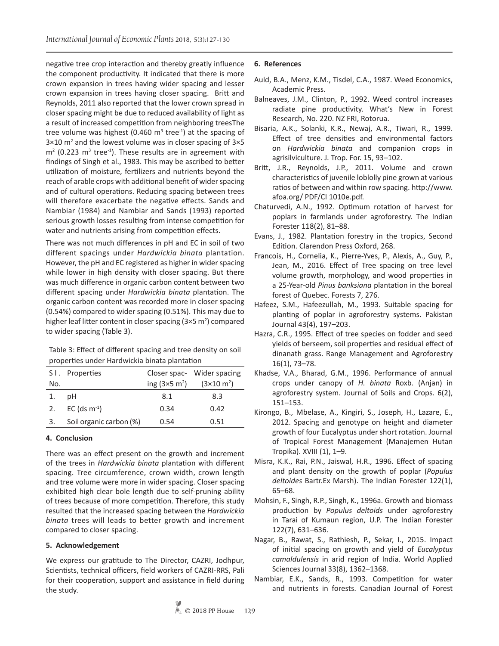negative tree crop interaction and thereby greatly influence the component productivity. It indicated that there is more crown expansion in trees having wider spacing and lesser crown expansion in trees having closer spacing. Britt and Reynolds, 2011 also reported that the lower crown spread in closer spacing might be due to reduced availability of light as a result of increased competition from neighboring treesThe tree volume was highest (0.460  $m^3$  tree<sup>-1</sup>) at the spacing of  $3\times10$  m<sup>2</sup> and the lowest volume was in closer spacing of  $3\times5$  $m<sup>2</sup>$  (0.223  $m<sup>3</sup>$  tree<sup>-1</sup>). These results are in agreement with findings of Singh et al., 1983. This may be ascribed to better utilization of moisture, fertilizers and nutrients beyond the reach of arable crops with additional benefit of wider spacing and of cultural operations. Reducing spacing between trees will therefore exacerbate the negative effects. Sands and Nambiar (1984) and Nambiar and Sands (1993) reported serious growth losses resulting from intense competition for water and nutrients arising from competition effects.

There was not much differences in pH and EC in soil of two different spacings under *Hardwickia binata* plantation. However, the pH and EC registered as higher in wider spacing while lower in high density with closer spacing. But there was much difference in organic carbon content between two different spacing under *Hardwickia binata* plantation. The organic carbon content was recorded more in closer spacing (0.54%) compared to wider spacing (0.51%). This may due to higher leaf litter content in closer spacing (3×5 m<sup>2</sup>) compared to wider spacing (Table 3).

| Table 3: Effect of different spacing and tree density on soil<br>properties under Hardwickia binata plantation |                         |                              |                             |  |  |
|----------------------------------------------------------------------------------------------------------------|-------------------------|------------------------------|-----------------------------|--|--|
|                                                                                                                | S I. Properties         |                              | Closer spac- Wider spacing  |  |  |
| No.                                                                                                            |                         | ing $(3\times5 \text{ m}^2)$ | $(3 \times 10 \text{ m}^2)$ |  |  |
| 1.                                                                                                             | рH                      | 8.1                          | 8.3                         |  |  |
| 2.                                                                                                             | EC (ds $m^{-1}$ )       | 0.34                         | 0.42                        |  |  |
| 3.                                                                                                             | Soil organic carbon (%) | 0.54                         | 0.51                        |  |  |

## **4. Conclusion**

There was an effect present on the growth and increment of the trees in *Hardwickia binata* plantation with different spacing. Tree circumference, crown width, crown length and tree volume were more in wider spacing. Closer spacing exhibited high clear bole length due to self-pruning ability of trees because of more competition. Therefore, this study resulted that the increased spacing between the *Hardwickia binata* trees will leads to better growth and increment compared to closer spacing.

## **5. Acknowledgement**

We express our gratitude to The Director, CAZRI, Jodhpur, Scientists, technical officers, field workers of CAZRI-RRS, Pali for their cooperation, support and assistance in field during the study.

# **6. References**

- Auld, B.A., Menz, K.M., Tisdel, C.A., 1987. Weed Economics, Academic Press.
- Balneaves, J.M., Clinton, P., 1992. Weed control increases radiate pine productivity. What's New in Forest Research, No. 220. NZ FRI, Rotorua.
- Bisaria, A.K., Solanki, K.R., Newaj, A.R., Tiwari, R., 1999. Effect of tree densities and environmental factors on *Hardwickia binata* and companion crops in agrisilviculture. J. Trop. For. 15, 93–102.
- Britt, J.R., Reynolds, J.P., 2011. Volume and crown characteristics of juvenile loblolly pine grown at various ratios of between and within row spacing. http://www. afoa.org/ PDF/CI 1010e.pdf.
- Chaturvedi, A.N., 1992. Optimum rotation of harvest for poplars in farmlands under agroforestry. The Indian Forester 118(2), 81–88.
- Evans, J., 1982. Plantation forestry in the tropics, Second Edition. Clarendon Press Oxford, 268.
- Francois, H., Cornelia, K., Pierre-Yves, P., Alexis, A., Guy, P., Jean, M., 2016. Effect of Tree spacing on tree level volume growth, morphology, and wood properties in a 25-Year-old *Pinus banksiana* plantation in the boreal forest of Quebec. Forests 7, 276.
- Hafeez, S.M., Hafeezullah, M., 1993. Suitable spacing for planting of poplar in agroforestry systems. Pakistan Journal 43(4), 197–203.
- Hazra, C.R., 1995. Effect of tree species on fodder and seed yields of berseem, soil properties and residual effect of dinanath grass. Range Management and Agroforestry 16(1), 73–78.
- Khadse, V.A., Bharad, G.M., 1996. Performance of annual crops under canopy of *H. binata* Roxb. (Anjan) in agroforestry system. Journal of Soils and Crops. 6(2), 151–153.
- Kirongo, B., Mbelase, A., Kingiri, S., Joseph, H., Lazare, E., 2012. Spacing and genotype on height and diameter growth of four Eucalyptus under short rotation. Journal of Tropical Forest Management (Manajemen Hutan Tropika). XVIII (1), 1–9.
- Misra, K.K., Rai, P.N., Jaiswal, H.R., 1996. Effect of spacing and plant density on the growth of poplar (*Populus deltoides* Bartr.Ex Marsh). The Indian Forester 122(1), 65–68.
- Mohsin, F., Singh, R.P., Singh, K., 1996a. Growth and biomass production by *Populus deltoids* under agroforestry in Tarai of Kumaun region, U.P. The Indian Forester 122(7), 631–636.
- Nagar, B., Rawat, S., Rathiesh, P., Sekar, I., 2015. Impact of initial spacing on growth and yield of *Eucalyptus camaldulensis* in arid region of India. World Applied Sciences Journal 33(8), 1362–1368.
- Nambiar, E.K., Sands, R., 1993. Competition for water and nutrients in forests. Canadian Journal of Forest